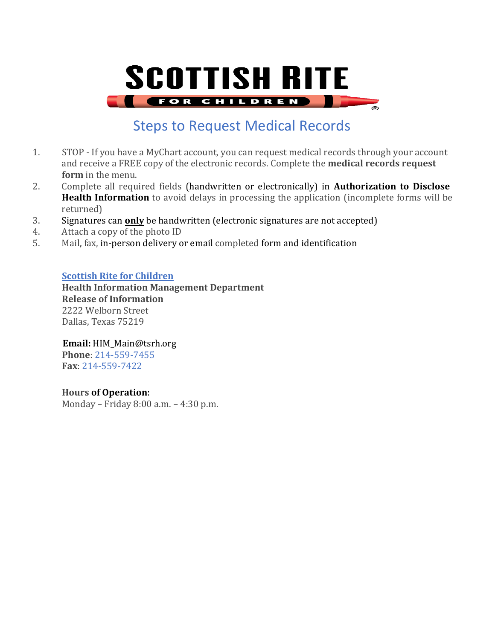# **SCOTTISH RITE FOR CHILDREN**

Steps to Request Medical Records

- 1. STOP If you have a MyChart account, you can request medical records through your account and receive a FREE copy of the electronic records. Complete the **medical records request form** in the menu.
- 2. Complete all required fields (handwritten or electronically) in **Authorization to Disclose Health Information** to avoid delays in processing the application (incomplete forms will be returned)
- 3. Signatures can **only** be handwritten (electronic signatures are not accepted)<br>4. Attach a copy of the photo ID
- 4. Attach a copy of the photo ID<br>5. Mail. fax. in-person delivery of
- Mail, fax, in-person delivery or email completed form and identification

### **[Scottish](https://www.childrens.com/locations/dallas-campus/childrens-medical-center-dallas) Rite for Children**

**Health Information Management Department Release of Information** 2222 Welborn Street Dallas, Texas 75219

**Email:** HIM\_Main@tsrh.org

**Phone**: [214-559-7455](tel:214-456-2509) **Fax**: 214-559-7422

### **Hours of Operation**:

Monday – Friday 8:00 a.m. – 4:30 p.m.